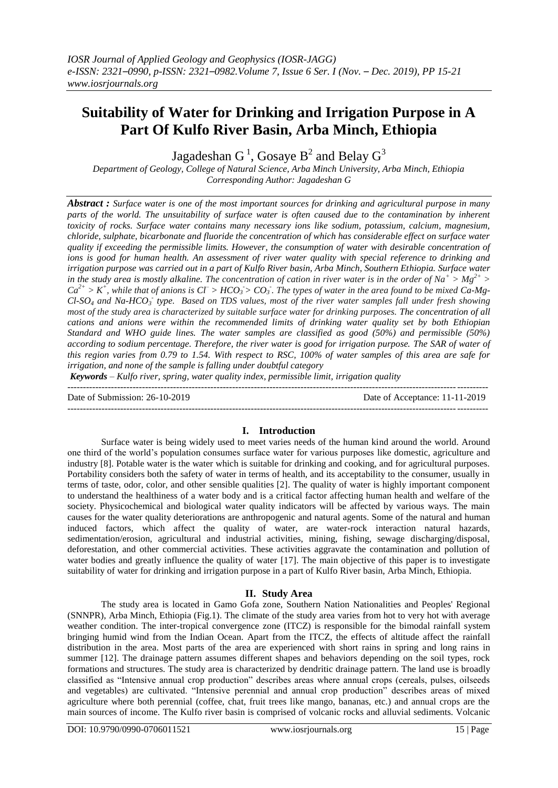# **Suitability of Water for Drinking and Irrigation Purpose in A Part Of Kulfo River Basin, Arba Minch, Ethiopia**

Jagadeshan G  $^1$ , Gosaye B $^2$  and Belay G $^3$ 

*Department of Geology, College of Natural Science, Arba Minch University, Arba Minch, Ethiopia Corresponding Author: Jagadeshan G*

*Abstract : Surface water is one of the most important sources for drinking and agricultural purpose in many parts of the world. The unsuitability of surface water is often caused due to the contamination by inherent toxicity of rocks. Surface water contains many necessary ions like sodium, potassium, calcium, magnesium, chloride, sulphate, bicarbonate and fluoride the concentration of which has considerable effect on surface water quality if exceeding the permissible limits. However, the consumption of water with desirable concentration of ions is good for human health. An assessment of river water quality with special reference to drinking and irrigation purpose was carried out in a part of Kulfo River basin, Arba Minch, Southern Ethiopia. Surface water in the study area is mostly alkaline. The concentration of cation in river water is in the order of*  $Na^+ > Mg^{2+} >$  $Ca^{2+} > K^+$ , while that of anions is  $C\Gamma > HCO_3 > CO_3$ . The types of water in the area found to be mixed  $Ca-Mg$ -*Cl-SO<sup>4</sup> and Na-HCO<sup>3</sup> - type. Based on TDS values, most of the river water samples fall under fresh showing most of the study area is characterized by suitable surface water for drinking purposes. The concentration of all cations and anions were within the recommended limits of drinking water quality set by both Ethiopian Standard and WHO guide lines. The water samples are classified as good (50%) and permissible (50%) according to sodium percentage. Therefore, the river water is good for irrigation purpose. The SAR of water of this region varies from 0.79 to 1.54. With respect to RSC, 100% of water samples of this area are safe for irrigation, and none of the sample is falling under doubtful category*

*Keywords – Kulfo river, spring, water quality index, permissible limit, irrigation quality*

--------------------------------------------------------------------------------------------------------------------------------------- Date of Submission: 26-10-2019 Date of Acceptance: 11-11-2019

## **I. Introduction**

Surface water is being widely used to meet varies needs of the human kind around the world. Around one third of the world's population consumes surface water for various purposes like domestic, agriculture and industry [8]. Potable water is the water which is suitable for drinking and cooking, and for agricultural purposes. Portability considers both the safety of water in terms of health, and its acceptability to the consumer, usually in terms of taste, odor, color, and other sensible qualities [2]. The quality of water is highly important component to understand the healthiness of a water body and is a critical factor affecting human health and welfare of the society. Physicochemical and biological water quality indicators will be affected by various ways. The main causes for the water quality deteriorations are anthropogenic and natural agents. Some of the natural and human induced factors, which affect the quality of water, are water-rock interaction natural hazards, sedimentation/erosion, agricultural and industrial activities, mining, fishing, sewage discharging/disposal, deforestation, and other commercial activities. These activities aggravate the contamination and pollution of water bodies and greatly influence the quality of water [17]. The main objective of this paper is to investigate suitability of water for drinking and irrigation purpose in a part of Kulfo River basin, Arba Minch, Ethiopia.

## **II. Study Area**

The study area is located in Gamo Gofa zone, Southern Nation Nationalities and Peoples' Regional (SNNPR), Arba Minch, Ethiopia (Fig.1). The climate of the study area varies from hot to very hot with average weather condition. The inter-tropical convergence zone (ITCZ) is responsible for the bimodal rainfall system bringing humid wind from the Indian Ocean. Apart from the ITCZ, the effects of altitude affect the rainfall distribution in the area. Most parts of the area are experienced with short rains in spring and long rains in summer [12]. The drainage pattern assumes different shapes and behaviors depending on the soil types, rock formations and structures. The study area is characterized by dendritic drainage pattern. The land use is broadly classified as "Intensive annual crop production" describes areas where annual crops (cereals, pulses, oilseeds and vegetables) are cultivated. "Intensive perennial and annual crop production" describes areas of mixed agriculture where both perennial (coffee, chat, fruit trees like mango, bananas, etc.) and annual crops are the main sources of income. The Kulfo river basin is comprised of volcanic rocks and alluvial sediments. Volcanic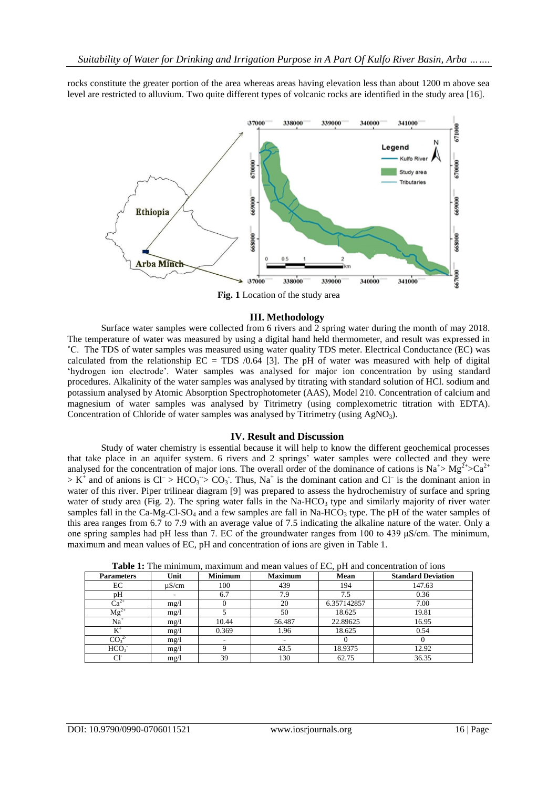rocks constitute the greater portion of the area whereas areas having elevation less than about 1200 m above sea level are restricted to alluvium. Two quite different types of volcanic rocks are identified in the study area [16].



**Fig. 1** Location of the study area

## **III. Methodology**

Surface water samples were collected from 6 rivers and 2 spring water during the month of may 2018. The temperature of water was measured by using a digital hand held thermometer, and result was expressed in ˚C. The TDS of water samples was measured using water quality TDS meter. Electrical Conductance (EC) was calculated from the relationship  $EC = TDS / 0.64$  [3]. The pH of water was measured with help of digital ‗hydrogen ion electrode'. Water samples was analysed for major ion concentration by using standard procedures. Alkalinity of the water samples was analysed by titrating with standard solution of HCl. sodium and potassium analysed by Atomic Absorption Spectrophotometer (AAS), Model 210. Concentration of calcium and magnesium of water samples was analysed by Titrimetry (using complexometric titration with EDTA). Concentration of Chloride of water samples was analysed by Titrimetry (using AgNO<sub>3</sub>).

### **IV. Result and Discussion**

Study of water chemistry is essential because it will help to know the different geochemical processes that take place in an aquifer system. 6 rivers and 2 springs' water samples were collected and they were analysed for the concentration of major ions. The overall order of the dominance of cations is  $Na^+> Mg^{2+} > Ca^{2+}$  $> K^+$  and of anions is  $Cl^- > HCO_3 > CO_3$ . Thus, Na<sup>+</sup> is the dominant cation and Cl<sup>-</sup> is the dominant anion in water of this river. Piper trilinear diagram [9] was prepared to assess the hydrochemistry of surface and spring water of study area (Fig. 2). The spring water falls in the Na-HCO<sub>3</sub> type and similarly majority of river water samples fall in the Ca-Mg-Cl-SO<sub>4</sub> and a few samples are fall in Na-HCO<sub>3</sub> type. The pH of the water samples of this area ranges from 6.7 to 7.9 with an average value of 7.5 indicating the alkaline nature of the water. Only a one spring samples had pH less than 7. EC of the groundwater ranges from 100 to 439 μS/cm. The minimum, maximum and mean values of EC, pH and concentration of ions are given in Table 1.

| <b>Parameters</b>            | Unit       | <b>Minimum</b>           | <b>Maximum</b> | Mean        | <b>Standard Deviation</b> |
|------------------------------|------------|--------------------------|----------------|-------------|---------------------------|
| EC                           | $\mu$ S/cm | 100                      | 439            | 194         | 147.63                    |
| pH                           |            | 6.7                      | 7.9            | 7.5         | 0.36                      |
| $Ca^{2+}$                    | mg/1       |                          | 20             | 6.357142857 | 7.00                      |
| $Mg^{2+}$                    | mg/1       |                          | 50             | 18.625      | 19.81                     |
| $Na+$                        | mg/1       | 10.44                    | 56.487         | 22.89625    | 16.95                     |
| $K^+$                        | mg/1       | 0.369                    | 1.96           | 18.625      | 0.54                      |
| CO <sub>3</sub> <sup>2</sup> | mg/1       | $\overline{\phantom{a}}$ |                |             |                           |
| HCO <sub>3</sub>             | mg/l       |                          | 43.5           | 18.9375     | 12.92                     |
| Сľ                           | mg/1       | 39                       | 130            | 62.75       | 36.35                     |

**Table 1:** The minimum, maximum and mean values of EC, pH and concentration of ions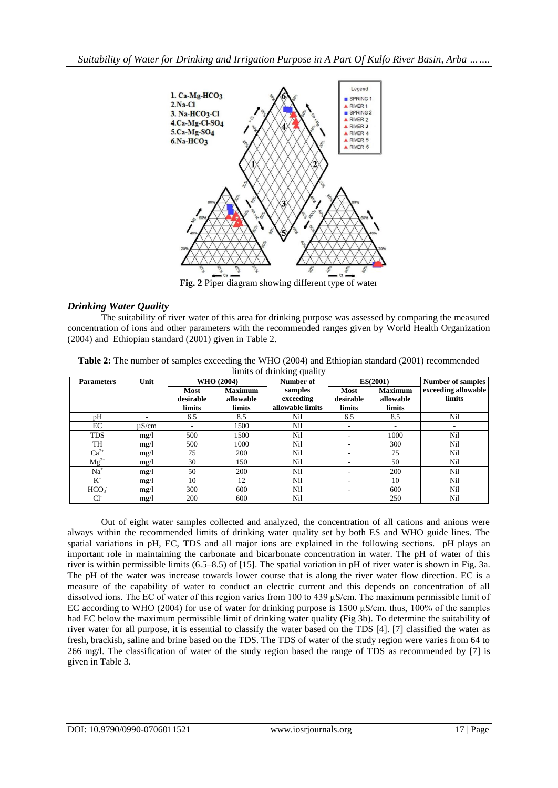

**Fig. 2** Piper diagram showing different type of water

# *Drinking Water Quality*

The suitability of river water of this area for drinking purpose was assessed by comparing the measured concentration of ions and other parameters with the recommended ranges given by World Health Organization (2004) and Ethiopian standard (2001) given in Table 2.

|                   | limits of drinking quality |             |                |                  |             |                |                          |
|-------------------|----------------------------|-------------|----------------|------------------|-------------|----------------|--------------------------|
| <b>Parameters</b> | Unit                       | WHO (2004)  |                | Number of        | ES(2001)    |                | <b>Number of samples</b> |
|                   |                            | <b>Most</b> | <b>Maximum</b> | samples          | <b>Most</b> | <b>Maximum</b> | exceeding allowable      |
|                   |                            | desirable   | allowable      | exceeding        | desirable   | allowable      | limits                   |
|                   |                            | limits      | limits         | allowable limits | limits      | limits         |                          |
| pH                |                            | 6.5         | 8.5            | Nil              | 6.5         | 8.5            | Nil                      |
| EC                | $\mu$ S/cm                 |             | 1500           | Nil              |             |                | ۰                        |
| <b>TDS</b>        | mg/1                       | 500         | 1500           | Nil              |             | 1000           | Nil                      |
| <b>TH</b>         | mg/1                       | 500         | 1000           | Nil              |             | 300            | Nil                      |
| $Ca^{2+}$         | mg/1                       | 75          | 200            | Nil              | ۰           | 75             | Nil                      |
| $Mg^{2+}$         | mg/1                       | 30          | 150            | Nil              |             | 50             | Nil                      |
| $Na+$             | mg/1                       | 50          | 200            | Nil              |             | 200            | Nil                      |
| $K^+$             | mg/1                       | 10          | 12             | Nil              |             | 10             | Nil                      |
| HCO <sub>3</sub>  | mg/1                       | 300         | 600            | Nil              |             | 600            | Nil                      |
| CF                | mg/1                       | <b>200</b>  | 600            | Nil              |             | 250            | Nil                      |

**Table 2:** The number of samples exceeding the WHO (2004) and Ethiopian standard (2001) recommended

Out of eight water samples collected and analyzed, the concentration of all cations and anions were always within the recommended limits of drinking water quality set by both ES and WHO guide lines. The spatial variations in pH, EC, TDS and all major ions are explained in the following sections. pH plays an important role in maintaining the carbonate and bicarbonate concentration in water. The pH of water of this river is within permissible limits (6.5–8.5) of [15]. The spatial variation in pH of river water is shown in Fig. 3a. The pH of the water was increase towards lower course that is along the river water flow direction. EC is a measure of the capability of water to conduct an electric current and this depends on concentration of all dissolved ions. The EC of water of this region varies from 100 to 439 μS/cm. The maximum permissible limit of EC according to WHO (2004) for use of water for drinking purpose is 1500 μS/cm. thus, 100% of the samples had EC below the maximum permissible limit of drinking water quality (Fig 3b). To determine the suitability of river water for all purpose, it is essential to classify the water based on the TDS [4]. [7] classified the water as fresh, brackish, saline and brine based on the TDS. The TDS of water of the study region were varies from 64 to 266 mg/l. The classification of water of the study region based the range of TDS as recommended by [7] is given in Table 3.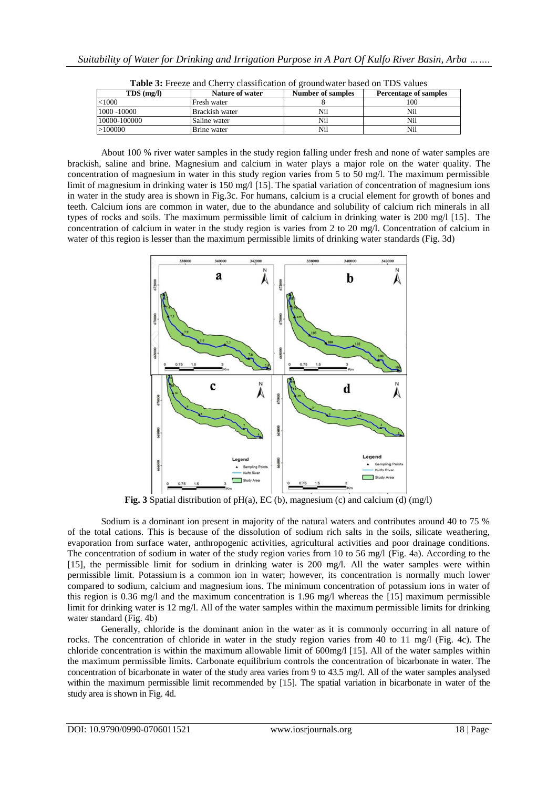| $TDS$ (mg/l) | Nature of water       | <b>Number of samples</b> | <b>Percentage of samples</b> |
|--------------|-----------------------|--------------------------|------------------------------|
| $<$ 1000     | Fresh water           |                          | 100                          |
| 1000 -10000  | <b>Brackish water</b> | Nil                      | Nil                          |
| 10000-100000 | Saline water          | Nil                      | Nil                          |
| >100000      | Brine water           | Nil                      | Nil                          |

**Table 3:** Freeze and Cherry classification of groundwater based on TDS values

About 100 % river water samples in the study region falling under fresh and none of water samples are brackish, saline and brine. Magnesium and calcium in water plays a major role on the water quality. The concentration of magnesium in water in this study region varies from 5 to 50 mg/l. The maximum permissible limit of magnesium in drinking water is 150 mg/l [15]. The spatial variation of concentration of magnesium ions in water in the study area is shown in Fig.3c. For humans, calcium is a crucial element for growth of bones and teeth. Calcium ions are common in water, due to the abundance and solubility of calcium rich minerals in all types of rocks and soils. The maximum permissible limit of calcium in drinking water is 200 mg/l [15]. The concentration of calcium in water in the study region is varies from 2 to 20 mg/l. Concentration of calcium in water of this region is lesser than the maximum permissible limits of drinking water standards (Fig. 3d)



**Fig. 3** Spatial distribution of pH(a), EC (b), magnesium (c) and calcium (d) (mg/l)

Sodium is a dominant ion present in majority of the natural waters and contributes around 40 to 75 % of the total cations. This is because of the dissolution of sodium rich salts in the soils, silicate weathering, evaporation from surface water, anthropogenic activities, agricultural activities and poor drainage conditions. The concentration of sodium in water of the study region varies from 10 to 56 mg/l (Fig. 4a). According to the [15], the permissible limit for sodium in drinking water is 200 mg/l. All the water samples were within permissible limit. Potassium is a common ion in water; however, its concentration is normally much lower compared to sodium, calcium and magnesium ions. The minimum concentration of potassium ions in water of this region is 0.36 mg/l and the maximum concentration is 1.96 mg/l whereas the [15] maximum permissible limit for drinking water is 12 mg/l. All of the water samples within the maximum permissible limits for drinking water standard (Fig. 4b)

Generally, chloride is the dominant anion in the water as it is commonly occurring in all nature of rocks. The concentration of chloride in water in the study region varies from 40 to 11 mg/l (Fig. 4c). The chloride concentration is within the maximum allowable limit of 600mg/l [15]. All of the water samples within the maximum permissible limits. Carbonate equilibrium controls the concentration of bicarbonate in water. The concentration of bicarbonate in water of the study area varies from 9 to 43.5 mg/l. All of the water samples analysed within the maximum permissible limit recommended by [15]. The spatial variation in bicarbonate in water of the study area is shown in Fig. 4d.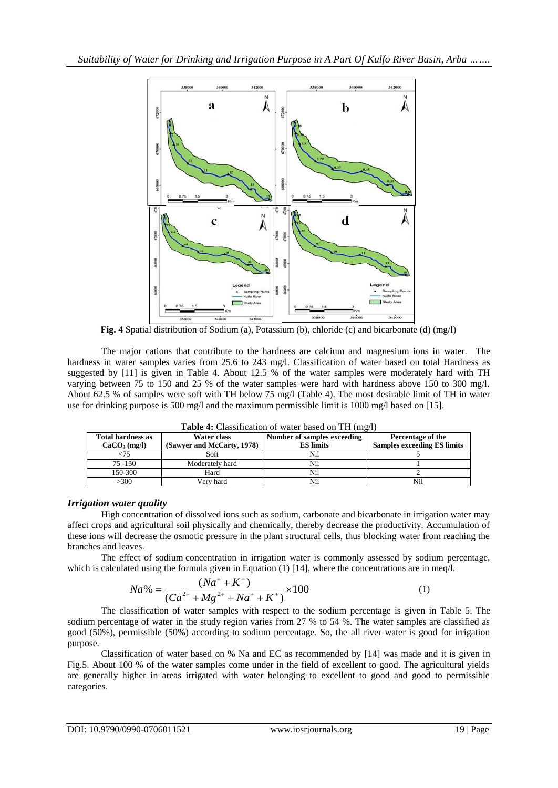

**Fig. 4** Spatial distribution of Sodium (a), Potassium (b), chloride (c) and bicarbonate (d) (mg/l)

The major cations that contribute to the hardness are calcium and magnesium ions in water. The hardness in water samples varies from 25.6 to 243 mg/l. Classification of water based on total Hardness as suggested by [11] is given in Table 4. About 12.5 % of the water samples were moderately hard with TH varying between 75 to 150 and 25 % of the water samples were hard with hardness above 150 to 300 mg/l. About 62.5 % of samples were soft with TH below 75 mg/l (Table 4). The most desirable limit of TH in water use for drinking purpose is 500 mg/l and the maximum permissible limit is 1000 mg/l based on [15].

| <b>Table 4.</b> Classification of water based on TIT (flig/1) |                            |                             |                                    |  |
|---------------------------------------------------------------|----------------------------|-----------------------------|------------------------------------|--|
| <b>Total hardness as</b>                                      | Water class                | Number of samples exceeding | Percentage of the                  |  |
| CaCO <sub>3</sub> (mg/l)                                      | (Sawyer and McCarty, 1978) | <b>ES</b> limits            | <b>Samples exceeding ES limits</b> |  |
|                                                               | Soft                       | Nil                         |                                    |  |
| $75 - 150$                                                    | Moderately hard            | Nil                         |                                    |  |
| 150-300                                                       | Hard                       | Nil                         |                                    |  |
| >300                                                          | Verv hard                  | Nil                         | Nil                                |  |

**Table 4:** Classification of water based on TH (mg/l)

# *Irrigation water quality*

High concentration of dissolved ions such as sodium, carbonate and bicarbonate in irrigation water may affect crops and agricultural soil physically and chemically, thereby decrease the productivity. Accumulation of these ions will decrease the osmotic pressure in the plant structural cells, thus blocking water from reaching the branches and leaves.

The effect of sodium concentration in irrigation water is commonly assessed by sodium percentage,

which is calculated using the formula given in Equation (1) [14], where the concentrations are in meq/1.  
\n
$$
Na\% = \frac{(Na^{+} + K^{+})}{(Ca^{2+} + Mg^{2+} + Na^{+} + K^{+})} \times 100
$$
\n(1)

The classification of water samples with respect to the sodium percentage is given in Table 5. The sodium percentage of water in the study region varies from 27 % to 54 %. The water samples are classified as good (50%), permissible (50%) according to sodium percentage. So, the all river water is good for irrigation purpose.

Classification of water based on % Na and EC as recommended by [14] was made and it is given in Fig.5. About 100 % of the water samples come under in the field of excellent to good. The agricultural yields are generally higher in areas irrigated with water belonging to excellent to good and good to permissible categories.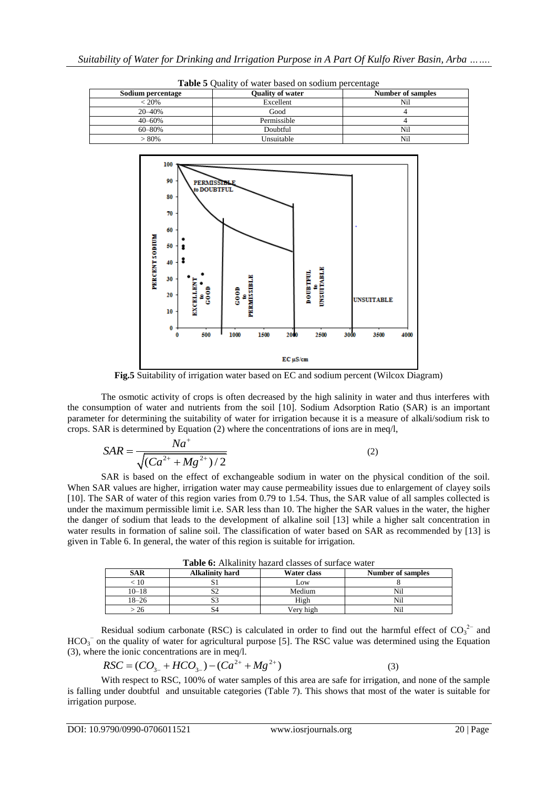| Sodium percentage | <b>Ouality of water</b> | Number of samples |
|-------------------|-------------------------|-------------------|
| $< 20\%$          | Excellent               | Nil               |
| 20 - 40%          | Good                    |                   |
| $40 - 60%$        | Permissible             |                   |
| 60–80%            | Doubtful                | Nil               |
| $>80\%$           | Unsuitable              | Nil               |





**Fig.5** Suitability of irrigation water based on EC and sodium percent (Wilcox Diagram)

The osmotic activity of crops is often decreased by the high salinity in water and thus interferes with the consumption of water and nutrients from the soil [10]. Sodium Adsorption Ratio (SAR) is an important parameter for determining the suitability of water for irrigation because it is a measure of alkali/sodium risk to crops. SAR is determined by Equation (2) where the concentrations of ions are in meq/l,

$$
SAR = \frac{Na^{+}}{\sqrt{(Ca^{2+} + Mg^{2+})/2}}
$$
 (2)

SAR is based on the effect of exchangeable sodium in water on the physical condition of the soil. When SAR values are higher, irrigation water may cause permeability issues due to enlargement of clayey soils [10]. The SAR of water of this region varies from 0.79 to 1.54. Thus, the SAR value of all samples collected is under the maximum permissible limit i.e. SAR less than 10. The higher the SAR values in the water, the higher the danger of sodium that leads to the development of alkaline soil [13] while a higher salt concentration in water results in formation of saline soil. The classification of water based on SAR as recommended by [13] is given in Table 6. In general, the water of this region is suitable for irrigation.

| <b>Table 6:</b> Alkalinity nazard classes of surface water |                        |             |                   |  |
|------------------------------------------------------------|------------------------|-------------|-------------------|--|
| <b>SAR</b>                                                 | <b>Alkalinity hard</b> | Water class | Number of samples |  |
|                                                            |                        | Low         |                   |  |
| $10 - 18$                                                  | $\sqrt{2}$             | Medium      | Nil               |  |
| $18 - 26$                                                  |                        | High        | Nil               |  |
| -26                                                        |                        | Verv high   |                   |  |

**Table 6:** Alkalinity hazard classes of surface water

Residual sodium carbonate (RSC) is calculated in order to find out the harmful effect of  $CO_3^2$  and  $HCO<sub>3</sub><sup>-</sup>$  on the quality of water for agricultural purpose [5]. The RSC value was determined using the Equation (3), where the ionic concentrations are in meq/l.<br>  $RSC = (CO<sub>3-1</sub> + HCO<sub>3-</sub>) - (Ca<sup>2+</sup> + Mg<sup>2+</sup>)$ 

$$
RSC = (CO3- + HCO3-) - (Ca2+ + Mg2+)
$$
 (3)

With respect to RSC, 100% of water samples of this area are safe for irrigation, and none of the sample is falling under doubtful and unsuitable categories (Table 7). This shows that most of the water is suitable for irrigation purpose.